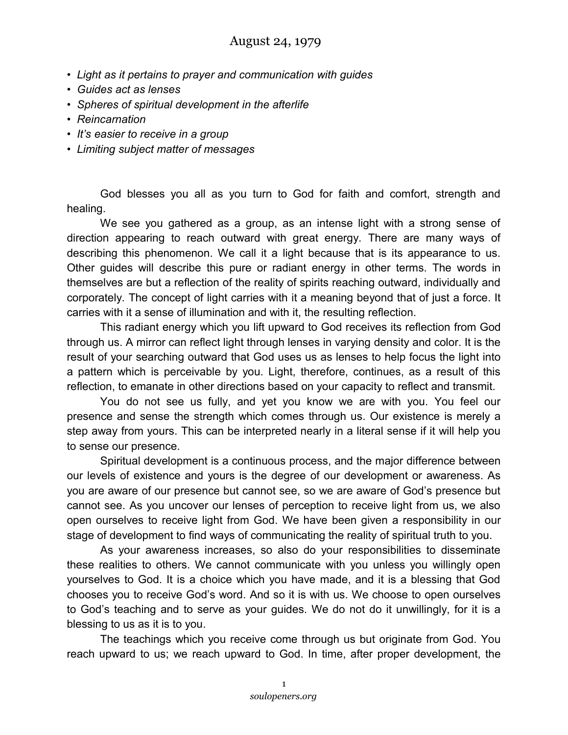## August 24, 1979

- *Light as it pertains to prayer and communication with guides*
- *Guides act as lenses*
- *Spheres of spiritual development in the afterlife*
- *Reincarnation*
- *It's easier to receive in a group*
- *Limiting subject matter of messages*

God blesses you all as you turn to God for faith and comfort, strength and healing.

We see you gathered as a group, as an intense light with a strong sense of direction appearing to reach outward with great energy. There are many ways of describing this phenomenon. We call it a light because that is its appearance to us. Other guides will describe this pure or radiant energy in other terms. The words in themselves are but a reflection of the reality of spirits reaching outward, individually and corporately. The concept of light carries with it a meaning beyond that of just a force. It carries with it a sense of illumination and with it, the resulting reflection.

This radiant energy which you lift upward to God receives its reflection from God through us. A mirror can reflect light through lenses in varying density and color. It is the result of your searching outward that God uses us as lenses to help focus the light into a pattern which is perceivable by you. Light, therefore, continues, as a result of this reflection, to emanate in other directions based on your capacity to reflect and transmit.

You do not see us fully, and yet you know we are with you. You feel our presence and sense the strength which comes through us. Our existence is merely a step away from yours. This can be interpreted nearly in a literal sense if it will help you to sense our presence.

Spiritual development is a continuous process, and the major difference between our levels of existence and yours is the degree of our development or awareness. As you are aware of our presence but cannot see, so we are aware of God's presence but cannot see. As you uncover our lenses of perception to receive light from us, we also open ourselves to receive light from God. We have been given a responsibility in our stage of development to find ways of communicating the reality of spiritual truth to you.

As your awareness increases, so also do your responsibilities to disseminate these realities to others. We cannot communicate with you unless you willingly open yourselves to God. It is a choice which you have made, and it is a blessing that God chooses you to receive God's word. And so it is with us. We choose to open ourselves to God's teaching and to serve as your guides. We do not do it unwillingly, for it is a blessing to us as it is to you.

The teachings which you receive come through us but originate from God. You reach upward to us; we reach upward to God. In time, after proper development, the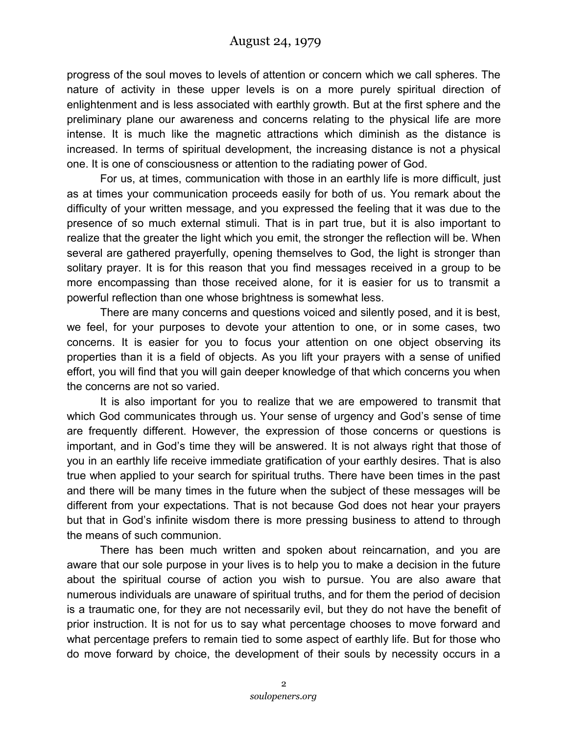progress of the soul moves to levels of attention or concern which we call spheres. The nature of activity in these upper levels is on a more purely spiritual direction of enlightenment and is less associated with earthly growth. But at the first sphere and the preliminary plane our awareness and concerns relating to the physical life are more intense. It is much like the magnetic attractions which diminish as the distance is increased. In terms of spiritual development, the increasing distance is not a physical one. It is one of consciousness or attention to the radiating power of God.

For us, at times, communication with those in an earthly life is more difficult, just as at times your communication proceeds easily for both of us. You remark about the difficulty of your written message, and you expressed the feeling that it was due to the presence of so much external stimuli. That is in part true, but it is also important to realize that the greater the light which you emit, the stronger the reflection will be. When several are gathered prayerfully, opening themselves to God, the light is stronger than solitary prayer. It is for this reason that you find messages received in a group to be more encompassing than those received alone, for it is easier for us to transmit a powerful reflection than one whose brightness is somewhat less.

There are many concerns and questions voiced and silently posed, and it is best, we feel, for your purposes to devote your attention to one, or in some cases, two concerns. It is easier for you to focus your attention on one object observing its properties than it is a field of objects. As you lift your prayers with a sense of unified effort, you will find that you will gain deeper knowledge of that which concerns you when the concerns are not so varied.

It is also important for you to realize that we are empowered to transmit that which God communicates through us. Your sense of urgency and God's sense of time are frequently different. However, the expression of those concerns or questions is important, and in God's time they will be answered. It is not always right that those of you in an earthly life receive immediate gratification of your earthly desires. That is also true when applied to your search for spiritual truths. There have been times in the past and there will be many times in the future when the subject of these messages will be different from your expectations. That is not because God does not hear your prayers but that in God's infinite wisdom there is more pressing business to attend to through the means of such communion.

There has been much written and spoken about reincarnation, and you are aware that our sole purpose in your lives is to help you to make a decision in the future about the spiritual course of action you wish to pursue. You are also aware that numerous individuals are unaware of spiritual truths, and for them the period of decision is a traumatic one, for they are not necessarily evil, but they do not have the benefit of prior instruction. It is not for us to say what percentage chooses to move forward and what percentage prefers to remain tied to some aspect of earthly life. But for those who do move forward by choice, the development of their souls by necessity occurs in a